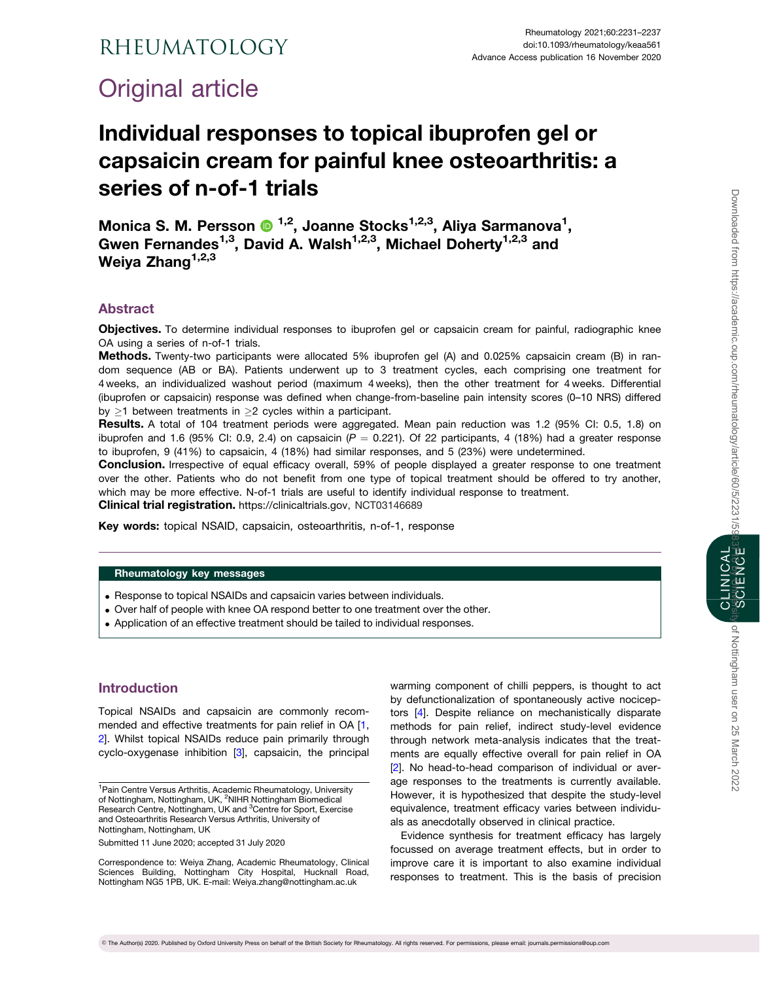# <span id="page-0-0"></span>Original article

# Individual responses to topical ibuprofen gel or capsaicin cream for painful knee osteoarthritis: a series of n-of-1 trials

Monica S. M. Persson <sup>® 1,2</sup>, Joanne Stocks<sup>1,2,3</sup>, Aliya Sarmanova<sup>1</sup>, Gwen Fernandes<sup>1,3</sup>, David A. Walsh<sup>1,2,3</sup>, Michael Doherty<sup>1,2,3</sup> and Weiya Zhang<sup>1,2,3</sup>

## Abstract

Objectives. To determine individual responses to ibuprofen gel or capsaicin cream for painful, radiographic knee OA using a series of n-of-1 trials.

Methods. Twenty-two participants were allocated 5% ibuprofen gel (A) and 0.025% capsaicin cream (B) in random sequence (AB or BA). Patients underwent up to 3 treatment cycles, each comprising one treatment for 4 weeks, an individualized washout period (maximum 4 weeks), then the other treatment for 4 weeks. Differential (ibuprofen or capsaicin) response was defined when change-from-baseline pain intensity scores (0–10 NRS) differed by  $\geq$ 1 between treatments in  $\geq$ 2 cycles within a participant.

Results. A total of 104 treatment periods were aggregated. Mean pain reduction was 1.2 (95% CI: 0.5, 1.8) on ibuprofen and 1.6 (95% CI: 0.9, 2.4) on capsaicin ( $P = 0.221$ ). Of 22 participants, 4 (18%) had a greater response to ibuprofen, 9 (41%) to capsaicin, 4 (18%) had similar responses, and 5 (23%) were undetermined.

Conclusion. Irrespective of equal efficacy overall, 59% of people displayed a greater response to one treatment over the other. Patients who do not benefit from one type of topical treatment should be offered to try another, which may be more effective. N-of-1 trials are useful to identify individual response to treatment.

Clinical trial registration. <https://clinicaltrials.gov>, NCT03146689

Key words: topical NSAID, capsaicin, osteoarthritis, n-of-1, response

#### Rheumatology key messages

- . Response to topical NSAIDs and capsaicin varies between individuals.
- . Over half of people with knee OA respond better to one treatment over the other.
- . Application of an effective treatment should be tailed to individual responses.

## Introduction

Topical NSAIDs and capsaicin are commonly recom-mended and effective treatments for pain relief in OA [[1](#page-5-0), [2](#page-6-0)]. Whilst topical NSAIDs reduce pain primarily through cyclo-oxygenase inhibition [\[3](#page-6-0)], capsaicin, the principal

Submitted 11 June 2020; accepted 31 July 2020

Correspondence to: Weiya Zhang, Academic Rheumatology, Clinical Sciences Building, Nottingham City Hospital, Hucknall Road, Nottingham NG5 1PB, UK. E-mail: Weiya.zhang@nottingham.ac.uk

warming component of chilli peppers, is thought to act by defunctionalization of spontaneously active nociceptors [\[4](#page-6-0)]. Despite reliance on mechanistically disparate methods for pain relief, indirect study-level evidence through network meta-analysis indicates that the treatments are equally effective overall for pain relief in OA [[2\]](#page-6-0). No head-to-head comparison of individual or average responses to the treatments is currently available. However, it is hypothesized that despite the study-level equivalence, treatment efficacy varies between individuals as anecdotally observed in clinical practice.

Evidence synthesis for treatment efficacy has largely focussed on average treatment effects, but in order to improve care it is important to also examine individual responses to treatment. This is the basis of precision y of Nottingham user on 25 March 2022

<sup>&</sup>lt;sup>1</sup> Pain Centre Versus Arthritis, Academic Rheumatology, University of Nottingham, Nottingham, UK, <sup>2</sup>NIHR Nottingham Biomedical Research Centre, Nottingham, UK and <sup>3</sup>Centre for Sport, Exercise and Osteoarthritis Research Versus Arthritis, University of Nottingham, Nottingham, UK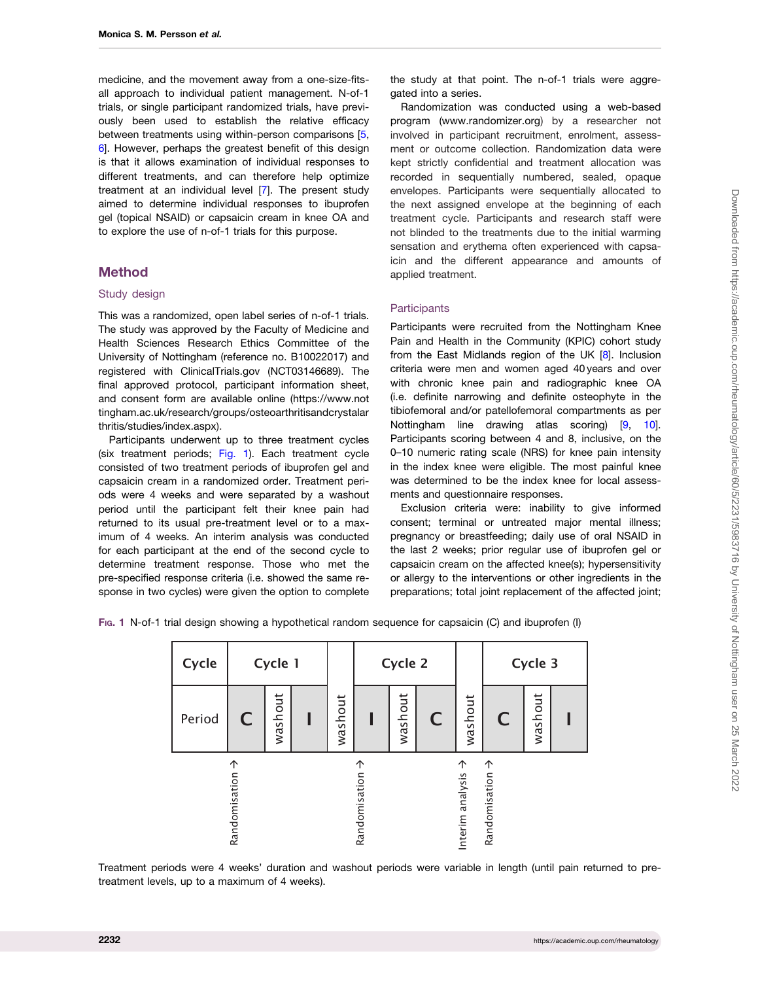<span id="page-1-0"></span>medicine, and the movement away from a one-size-fitsall approach to individual patient management. N-of-1 trials, or single participant randomized trials, have previously been used to establish the relative efficacy between treatments using within-person comparisons [[5](#page-6-0), [6](#page-6-0)]. However, perhaps the greatest benefit of this design is that it allows examination of individual responses to different treatments, and can therefore help optimize treatment at an individual level [[7](#page-6-0)]. The present study aimed to determine individual responses to ibuprofen gel (topical NSAID) or capsaicin cream in knee OA and to explore the use of n-of-1 trials for this purpose.

## Method

#### Study design

This was a randomized, open label series of n-of-1 trials. The study was approved by the Faculty of Medicine and Health Sciences Research Ethics Committee of the University of Nottingham (reference no. B10022017) and registered with ClinicalTrials.gov (NCT03146689). The final approved protocol, participant information sheet, and consent form are available online [\(https://www.not](https://www.nottingham.ac.uk/research/groups/osteoarthritisandcrystalarthritis/studies/index.aspx) [tingham.ac.uk/research/groups/osteoarthritisandcrystalar](https://www.nottingham.ac.uk/research/groups/osteoarthritisandcrystalarthritis/studies/index.aspx) [thritis/studies/index.aspx\)](https://www.nottingham.ac.uk/research/groups/osteoarthritisandcrystalarthritis/studies/index.aspx).

Participants underwent up to three treatment cycles (six treatment periods; Fig. 1). Each treatment cycle consisted of two treatment periods of ibuprofen gel and capsaicin cream in a randomized order. Treatment periods were 4 weeks and were separated by a washout period until the participant felt their knee pain had returned to its usual pre-treatment level or to a maximum of 4 weeks. An interim analysis was conducted for each participant at the end of the second cycle to determine treatment response. Those who met the pre-specified response criteria (i.e. showed the same response in two cycles) were given the option to complete

the study at that point. The n-of-1 trials were aggregated into a series.

Randomization was conducted using a web-based program [\(www.randomizer.org\)](http://www.randomizer.org) by a researcher not involved in participant recruitment, enrolment, assessment or outcome collection. Randomization data were kept strictly confidential and treatment allocation was recorded in sequentially numbered, sealed, opaque envelopes. Participants were sequentially allocated to the next assigned envelope at the beginning of each treatment cycle. Participants and research staff were not blinded to the treatments due to the initial warming sensation and erythema often experienced with capsaicin and the different appearance and amounts of applied treatment.

#### **Participants**

Participants were recruited from the Nottingham Knee Pain and Health in the Community (KPIC) cohort study from the East Midlands region of the UK [[8](#page-6-0)]. Inclusion criteria were men and women aged 40 years and over with chronic knee pain and radiographic knee OA (i.e. definite narrowing and definite osteophyte in the tibiofemoral and/or patellofemoral compartments as per Nottingham line drawing atlas scoring) [[9,](#page-6-0) [10](#page-6-0)]. Participants scoring between 4 and 8, inclusive, on the 0–10 numeric rating scale (NRS) for knee pain intensity in the index knee were eligible. The most painful knee was determined to be the index knee for local assessments and questionnaire responses.

Exclusion criteria were: inability to give informed consent; terminal or untreated major mental illness; pregnancy or breastfeeding; daily use of oral NSAID in the last 2 weeks; prior regular use of ibuprofen gel or capsaicin cream on the affected knee(s); hypersensitivity or allergy to the interventions or other ingredients in the preparations; total joint replacement of the affected joint;

FIG. 1 N-of-1 trial design showing a hypothetical random sequence for capsaicin (C) and ibuprofen (I)



Treatment periods were 4 weeks' duration and washout periods were variable in length (until pain returned to pretreatment levels, up to a maximum of 4 weeks).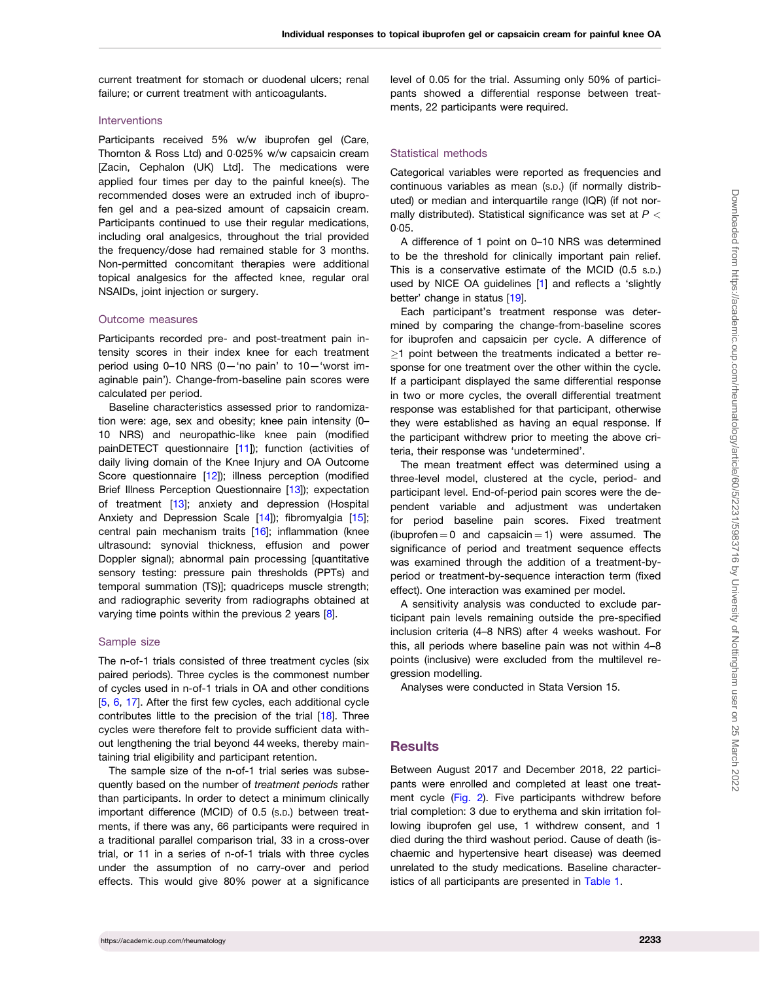#### <span id="page-2-0"></span>Interventions

Participants received 5% w/w ibuprofen gel (Care, Thornton & Ross Ltd) and 0.025% w/w capsaicin cream [Zacin, Cephalon (UK) Ltd]. The medications were applied four times per day to the painful knee(s). The recommended doses were an extruded inch of ibuprofen gel and a pea-sized amount of capsaicin cream. Participants continued to use their regular medications, including oral analgesics, throughout the trial provided the frequency/dose had remained stable for 3 months. Non-permitted concomitant therapies were additional topical analgesics for the affected knee, regular oral NSAIDs, joint injection or surgery.

#### Outcome measures

Participants recorded pre- and post-treatment pain intensity scores in their index knee for each treatment period using 0–10 NRS (0—'no pain' to 10—'worst imaginable pain'). Change-from-baseline pain scores were calculated per period.

Baseline characteristics assessed prior to randomization were: age, sex and obesity; knee pain intensity (0– 10 NRS) and neuropathic-like knee pain (modified painDETECT questionnaire [\[11](#page-6-0)]); function (activities of daily living domain of the Knee Injury and OA Outcome Score questionnaire [[12](#page-6-0)]); illness perception (modified Brief Illness Perception Questionnaire [[13](#page-6-0)]); expectation of treatment [\[13\]](#page-6-0); anxiety and depression (Hospital Anxiety and Depression Scale [[14\]](#page-6-0)); fibromyalgia [[15](#page-6-0)]; central pain mechanism traits [\[16](#page-6-0)]; inflammation (knee ultrasound: synovial thickness, effusion and power Doppler signal); abnormal pain processing [quantitative sensory testing: pressure pain thresholds (PPTs) and temporal summation (TS)]; quadriceps muscle strength; and radiographic severity from radiographs obtained at varying time points within the previous 2 years [\[8\]](#page-6-0).

#### Sample size

The n-of-1 trials consisted of three treatment cycles (six paired periods). Three cycles is the commonest number of cycles used in n-of-1 trials in OA and other conditions [[5](#page-6-0), [6](#page-6-0), [17\]](#page-6-0). After the first few cycles, each additional cycle contributes little to the precision of the trial [\[18\]](#page-6-0). Three cycles were therefore felt to provide sufficient data without lengthening the trial beyond 44 weeks, thereby maintaining trial eligibility and participant retention.

The sample size of the n-of-1 trial series was subsequently based on the number of treatment periods rather than participants. In order to detect a minimum clinically important difference (MCID) of 0.5 (S.D.) between treatments, if there was any, 66 participants were required in a traditional parallel comparison trial, 33 in a cross-over trial, or 11 in a series of n-of-1 trials with three cycles under the assumption of no carry-over and period effects. This would give 80% power at a significance

level of 0.05 for the trial. Assuming only 50% of participants showed a differential response between treatments, 22 participants were required.

#### Statistical methods

Categorical variables were reported as frequencies and continuous variables as mean (S.D.) (if normally distributed) or median and interquartile range (IQR) (if not normally distributed). Statistical significance was set at  $P <$  $0.05.$ 

A difference of 1 point on 0–10 NRS was determined to be the threshold for clinically important pain relief. This is a conservative estimate of the MCID (0.5 S.D.) used by NICE OA guidelines [[1](#page-5-0)] and reflects a 'slightly better' change in status [[19](#page-6-0)].

Each participant's treatment response was determined by comparing the change-from-baseline scores for ibuprofen and capsaicin per cycle. A difference of  $\geq$ 1 point between the treatments indicated a better response for one treatment over the other within the cycle. If a participant displayed the same differential response in two or more cycles, the overall differential treatment response was established for that participant, otherwise they were established as having an equal response. If the participant withdrew prior to meeting the above criteria, their response was 'undetermined'.

The mean treatment effect was determined using a three-level model, clustered at the cycle, period- and participant level. End-of-period pain scores were the dependent variable and adjustment was undertaken for period baseline pain scores. Fixed treatment (ibuprofen  $= 0$  and capsaicin  $= 1$ ) were assumed. The significance of period and treatment sequence effects was examined through the addition of a treatment-byperiod or treatment-by-sequence interaction term (fixed effect). One interaction was examined per model.

A sensitivity analysis was conducted to exclude participant pain levels remaining outside the pre-specified inclusion criteria (4–8 NRS) after 4 weeks washout. For this, all periods where baseline pain was not within 4–8 points (inclusive) were excluded from the multilevel regression modelling.

Analyses were conducted in Stata Version 15.

## **Results**

Between August 2017 and December 2018, 22 participants were enrolled and completed at least one treatment cycle ([Fig. 2](#page-3-0)). Five participants withdrew before trial completion: 3 due to erythema and skin irritation following ibuprofen gel use, 1 withdrew consent, and 1 died during the third washout period. Cause of death (ischaemic and hypertensive heart disease) was deemed unrelated to the study medications. Baseline characteristics of all participants are presented in [Table 1.](#page-4-0)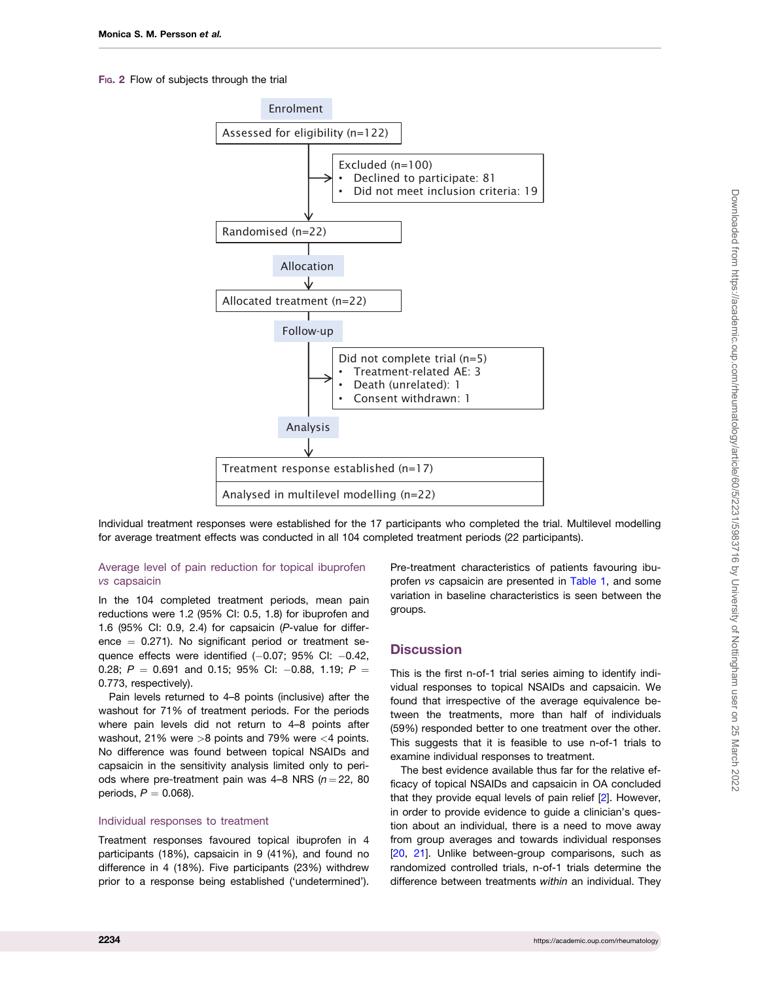#### <span id="page-3-0"></span>FIG. 2 Flow of subjects through the trial



Individual treatment responses were established for the 17 participants who completed the trial. Multilevel modelling for average treatment effects was conducted in all 104 completed treatment periods (22 participants).

#### Average level of pain reduction for topical ibuprofen vs capsaicin

In the 104 completed treatment periods, mean pain reductions were 1.2 (95% CI: 0.5, 1.8) for ibuprofen and 1.6 (95% CI: 0.9, 2.4) for capsaicin (P-value for difference  $= 0.271$ ). No significant period or treatment sequence effects were identified  $(-0.07; 95\%$  CI:  $-0.42$ , 0.28;  $P = 0.691$  and 0.15; 95% CI: -0.88, 1.19;  $P =$ 0.773, respectively).

Pain levels returned to 4–8 points (inclusive) after the washout for 71% of treatment periods. For the periods where pain levels did not return to 4–8 points after washout, 21% were >8 points and 79% were <4 points. No difference was found between topical NSAIDs and capsaicin in the sensitivity analysis limited only to periods where pre-treatment pain was 4–8 NRS ( $n = 22$ , 80 periods,  $P = 0.068$ ).

#### Individual responses to treatment

Treatment responses favoured topical ibuprofen in 4 participants (18%), capsaicin in 9 (41%), and found no difference in 4 (18%). Five participants (23%) withdrew prior to a response being established ('undetermined'). Pre-treatment characteristics of patients favouring ibuprofen vs capsaicin are presented in [Table 1,](#page-4-0) and some variation in baseline characteristics is seen between the groups.

#### **Discussion**

This is the first n-of-1 trial series aiming to identify individual responses to topical NSAIDs and capsaicin. We found that irrespective of the average equivalence between the treatments, more than half of individuals (59%) responded better to one treatment over the other. This suggests that it is feasible to use n-of-1 trials to examine individual responses to treatment.

The best evidence available thus far for the relative efficacy of topical NSAIDs and capsaicin in OA concluded that they provide equal levels of pain relief [\[2](#page-6-0)]. However, in order to provide evidence to guide a clinician's question about an individual, there is a need to move away from group averages and towards individual responses [[20](#page-6-0), [21\]](#page-6-0). Unlike between-group comparisons, such as randomized controlled trials, n-of-1 trials determine the difference between treatments within an individual. They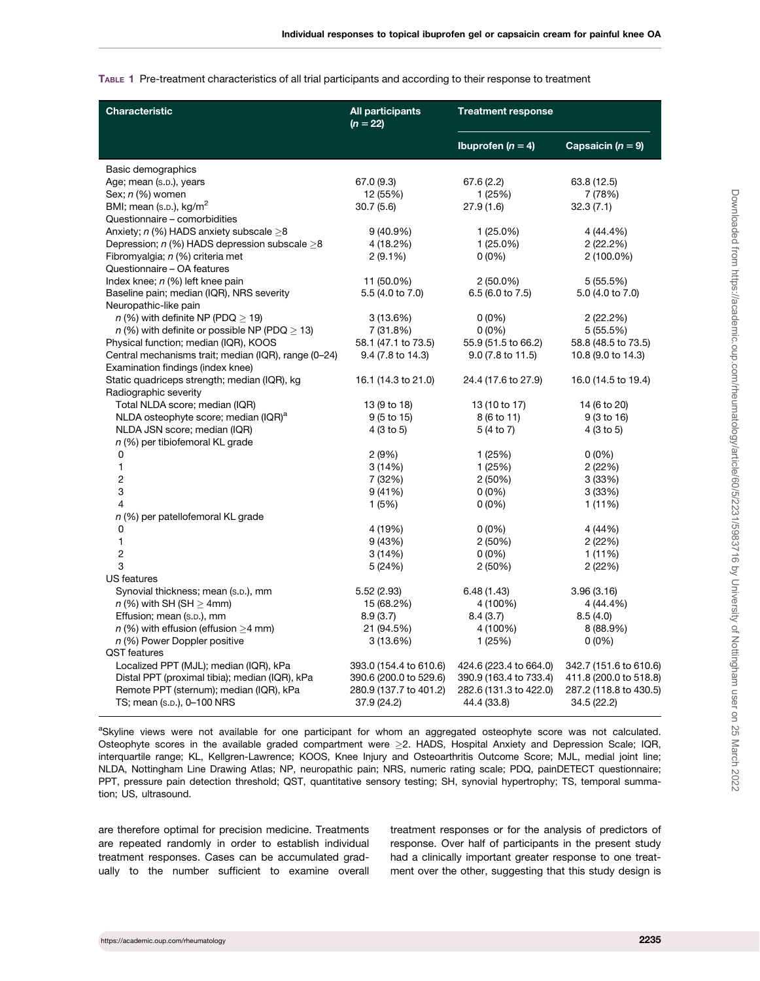#### <span id="page-4-0"></span>TABLE 1 Pre-treatment characteristics of all trial participants and according to their response to treatment

| <b>Characteristic</b>                                | <b>All participants</b><br>$(n = 22)$ | <b>Treatment response</b> |                        |
|------------------------------------------------------|---------------------------------------|---------------------------|------------------------|
|                                                      |                                       | Ibuprofen ( $n = 4$ )     | Capsaicin $(n = 9)$    |
| Basic demographics                                   |                                       |                           |                        |
| Age; mean (s.p.), years                              | 67.0(9.3)                             | 67.6 (2.2)                | 63.8 (12.5)            |
| Sex; n (%) women                                     | 12 (55%)                              | 1(25%)                    | 7 (78%)                |
| BMI; mean (s.p.), kg/m <sup>2</sup>                  | 30.7(5.6)                             | 27.9(1.6)                 | 32.3(7.1)              |
| Questionnaire - comorbidities                        |                                       |                           |                        |
| Anxiety; $n$ (%) HADS anxiety subscale $>8$          | $9(40.9\%)$                           | $1(25.0\%)$               | 4 (44.4%)              |
| Depression; $n$ (%) HADS depression subscale $>8$    | 4 (18.2%)                             | $1(25.0\%)$               | 2(22.2%)               |
| Fibromyalgia; n (%) criteria met                     | $2(9.1\%)$                            | $0(0\%)$                  | $2(100.0\%)$           |
| Questionnaire - OA features                          |                                       |                           |                        |
| Index knee; $n$ (%) left knee pain                   | 11 (50.0%)                            | $2(50.0\%)$               | 5(55.5%)               |
| Baseline pain; median (IQR), NRS severity            | 5.5 (4.0 to 7.0)                      | 6.5 (6.0 to 7.5)          | 5.0 (4.0 to 7.0)       |
| Neuropathic-like pain                                |                                       |                           |                        |
| $n$ (%) with definite NP (PDQ $>$ 19)                | 3(13.6%)                              | $0(0\%)$                  | 2(22.2%)               |
| $n$ (%) with definite or possible NP (PDQ $>$ 13)    | 7 (31.8%)                             | $0(0\%)$                  | 5(55.5%)               |
| Physical function; median (IQR), KOOS                | 58.1 (47.1 to 73.5)                   | 55.9 (51.5 to 66.2)       | 58.8 (48.5 to 73.5)    |
| Central mechanisms trait; median (IQR), range (0-24) | 9.4 (7.8 to 14.3)                     | 9.0 (7.8 to 11.5)         | 10.8 (9.0 to 14.3)     |
| Examination findings (index knee)                    |                                       |                           |                        |
| Static quadriceps strength; median (IQR), kg         | 16.1 (14.3 to 21.0)                   | 24.4 (17.6 to 27.9)       | 16.0 (14.5 to 19.4)    |
| Radiographic severity                                |                                       |                           |                        |
| Total NLDA score; median (IQR)                       | 13 (9 to 18)                          | 13 (10 to 17)             | 14 (6 to 20)           |
| NLDA osteophyte score; median (IQR) <sup>a</sup>     | $9(5 \text{ to } 15)$                 | 8 (6 to 11)               | 9 (3 to 16)            |
| NLDA JSN score; median (IQR)                         | 4 (3 to 5)                            | 5 (4 to 7)                | 4 (3 to 5)             |
| $n$ (%) per tibiofemoral KL grade                    |                                       |                           |                        |
| 0                                                    | 2(9%)                                 | 1(25%)                    | $0(0\%)$               |
| $\mathbf{1}$                                         | 3(14%)                                | 1(25%)                    | 2(22%)                 |
| $\sqrt{2}$                                           | 7 (32%)                               | 2(50%)                    | 3(33%)                 |
| 3                                                    | 9(41%)                                | $0(0\%)$                  | 3(33%)                 |
| 4                                                    | 1(5%)                                 | $0(0\%)$                  | 1(11%)                 |
| n (%) per patellofemoral KL grade                    |                                       |                           |                        |
| 0                                                    | 4 (19%)                               | $0(0\%)$                  | 4 (44%)                |
| 1                                                    | 9(43%)                                | 2(50%)                    | 2(22%)                 |
| 2                                                    | 3(14%)                                | $0(0\%)$                  | 1(11%)                 |
| 3                                                    | 5 (24%)                               | 2(50%)                    | 2(22%)                 |
| <b>US</b> features                                   |                                       |                           |                        |
| Synovial thickness; mean (s.p.), mm                  | 5.52(2.93)                            | 6.48(1.43)                | 3.96(3.16)             |
| $n$ (%) with SH (SH $>$ 4mm)                         | 15 (68.2%)                            | 4 (100%)                  | 4 (44.4%)              |
| Effusion; mean (s.p.), mm                            | 8.9(3.7)                              | 8.4(3.7)                  | 8.5(4.0)               |
| $n$ (%) with effusion (effusion >4 mm)               | 21 (94.5%)                            | 4 (100%)                  | 8 (88.9%)              |
| n (%) Power Doppler positive                         | 3(13.6%)                              | 1(25%)                    | $0(0\%)$               |
| <b>QST</b> features                                  |                                       |                           |                        |
| Localized PPT (MJL); median (IQR), kPa               | 393.0 (154.4 to 610.6)                | 424.6 (223.4 to 664.0)    | 342.7 (151.6 to 610.6) |
| Distal PPT (proximal tibia); median (IQR), kPa       | 390.6 (200.0 to 529.6)                | 390.9 (163.4 to 733.4)    | 411.8 (200.0 to 518.8) |
| Remote PPT (sternum); median (IQR), kPa              | 280.9 (137.7 to 401.2)                | 282.6 (131.3 to 422.0)    | 287.2 (118.8 to 430.5) |
| TS; mean (s.p.), 0-100 NRS                           | 37.9 (24.2)                           | 44.4 (33.8)               | 34.5 (22.2)            |
|                                                      |                                       |                           |                        |

aSkyline views were not available for one participant for whom an aggregated osteophyte score was not calculated. Osteophyte scores in the available graded compartment were  $\geq$ 2. HADS, Hospital Anxiety and Depression Scale; IQR, interquartile range; KL, Kellgren-Lawrence; KOOS, Knee Injury and Osteoarthritis Outcome Score; MJL, medial joint line; NLDA, Nottingham Line Drawing Atlas; NP, neuropathic pain; NRS, numeric rating scale; PDQ, painDETECT questionnaire; PPT, pressure pain detection threshold; QST, quantitative sensory testing; SH, synovial hypertrophy; TS, temporal summation; US, ultrasound.

are therefore optimal for precision medicine. Treatments are repeated randomly in order to establish individual treatment responses. Cases can be accumulated gradually to the number sufficient to examine overall treatment responses or for the analysis of predictors of response. Over half of participants in the present study had a clinically important greater response to one treatment over the other, suggesting that this study design is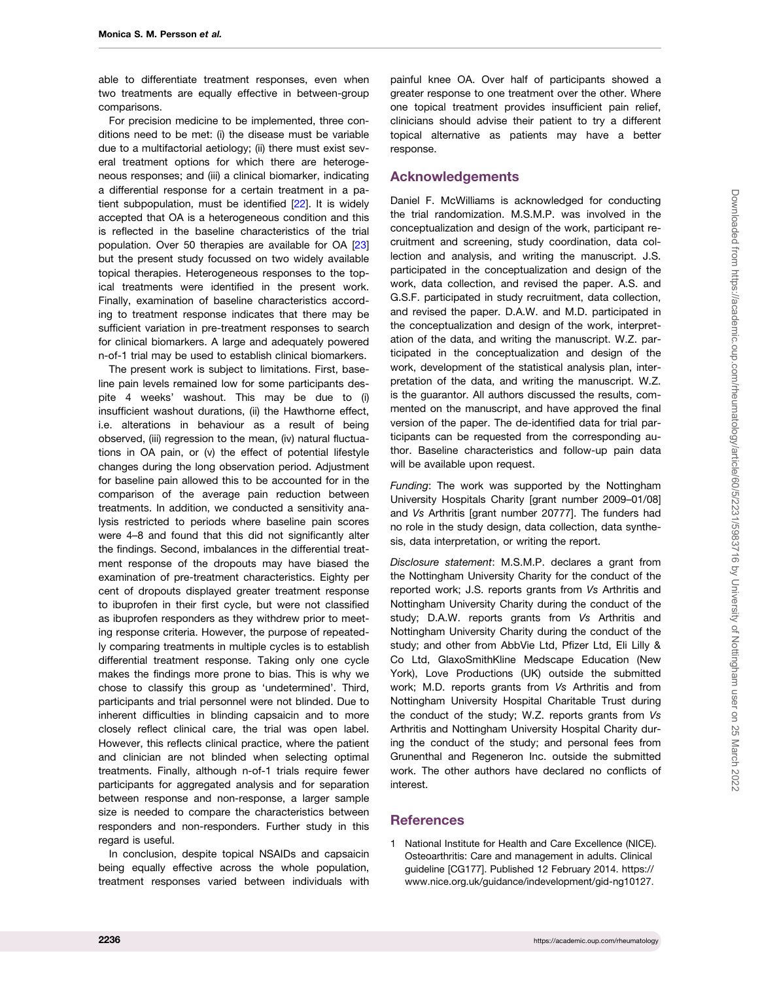<span id="page-5-0"></span>able to differentiate treatment responses, even when two treatments are equally effective in between-group comparisons.

For precision medicine to be implemented, three conditions need to be met: (i) the disease must be variable due to a multifactorial aetiology; (ii) there must exist several treatment options for which there are heterogeneous responses; and (iii) a clinical biomarker, indicating a differential response for a certain treatment in a patient subpopulation, must be identified [\[22](#page-6-0)]. It is widely accepted that OA is a heterogeneous condition and this is reflected in the baseline characteristics of the trial population. Over 50 therapies are available for OA [\[23](#page-6-0)] but the present study focussed on two widely available topical therapies. Heterogeneous responses to the topical treatments were identified in the present work. Finally, examination of baseline characteristics according to treatment response indicates that there may be sufficient variation in pre-treatment responses to search for clinical biomarkers. A large and adequately powered n-of-1 trial may be used to establish clinical biomarkers.

The present work is subject to limitations. First, baseline pain levels remained low for some participants despite 4 weeks' washout. This may be due to (i) insufficient washout durations, (ii) the Hawthorne effect, i.e. alterations in behaviour as a result of being observed, (iii) regression to the mean, (iv) natural fluctuations in OA pain, or (v) the effect of potential lifestyle changes during the long observation period. Adjustment for baseline pain allowed this to be accounted for in the comparison of the average pain reduction between treatments. In addition, we conducted a sensitivity analysis restricted to periods where baseline pain scores were 4–8 and found that this did not significantly alter the findings. Second, imbalances in the differential treatment response of the dropouts may have biased the examination of pre-treatment characteristics. Eighty per cent of dropouts displayed greater treatment response to ibuprofen in their first cycle, but were not classified as ibuprofen responders as they withdrew prior to meeting response criteria. However, the purpose of repeatedly comparing treatments in multiple cycles is to establish differential treatment response. Taking only one cycle makes the findings more prone to bias. This is why we chose to classify this group as 'undetermined'. Third, participants and trial personnel were not blinded. Due to inherent difficulties in blinding capsaicin and to more closely reflect clinical care, the trial was open label. However, this reflects clinical practice, where the patient and clinician are not blinded when selecting optimal treatments. Finally, although n-of-1 trials require fewer participants for aggregated analysis and for separation between response and non-response, a larger sample size is needed to compare the characteristics between responders and non-responders. Further study in this regard is useful.

In conclusion, despite topical NSAIDs and capsaicin being equally effective across the whole population, treatment responses varied between individuals with

painful knee OA. Over half of participants showed a greater response to one treatment over the other. Where one topical treatment provides insufficient pain relief, clinicians should advise their patient to try a different topical alternative as patients may have a better response.

### Acknowledgements

Daniel F. McWilliams is acknowledged for conducting the trial randomization. M.S.M.P. was involved in the conceptualization and design of the work, participant recruitment and screening, study coordination, data collection and analysis, and writing the manuscript. J.S. participated in the conceptualization and design of the work, data collection, and revised the paper. A.S. and G.S.F. participated in study recruitment, data collection, and revised the paper. D.A.W. and M.D. participated in the conceptualization and design of the work, interpretation of the data, and writing the manuscript. W.Z. participated in the conceptualization and design of the work, development of the statistical analysis plan, interpretation of the data, and writing the manuscript. W.Z. is the guarantor. All authors discussed the results, commented on the manuscript, and have approved the final version of the paper. The de-identified data for trial participants can be requested from the corresponding author. Baseline characteristics and follow-up pain data will be available upon request.

Funding: The work was supported by the Nottingham University Hospitals Charity [grant number 2009–01/08] and Vs Arthritis [grant number 20777]. The funders had no role in the study design, data collection, data synthesis, data interpretation, or writing the report.

Disclosure statement: M.S.M.P. declares a grant from the Nottingham University Charity for the conduct of the reported work; J.S. reports grants from Vs Arthritis and Nottingham University Charity during the conduct of the study; D.A.W. reports grants from Vs Arthritis and Nottingham University Charity during the conduct of the study; and other from AbbVie Ltd, Pfizer Ltd, Eli Lilly & Co Ltd, GlaxoSmithKline Medscape Education (New York), Love Productions (UK) outside the submitted work; M.D. reports grants from Vs Arthritis and from Nottingham University Hospital Charitable Trust during the conduct of the study; W.Z. reports grants from Vs Arthritis and Nottingham University Hospital Charity during the conduct of the study; and personal fees from Grunenthal and Regeneron Inc. outside the submitted work. The other authors have declared no conflicts of interest.

### **References**

[1](#page-0-0) National Institute for Health and Care Excellence (NICE). Osteoarthritis: Care and management in adults. Clinical guideline [CG177]. Published 12 February 2014. [https://](https://www.nice.org.uk/guidance/indevelopment/gid&hx2010;ng10127) [www.nice.org.uk/guidance/indevelopment/gid-ng10127.](https://www.nice.org.uk/guidance/indevelopment/gid&hx2010;ng10127)